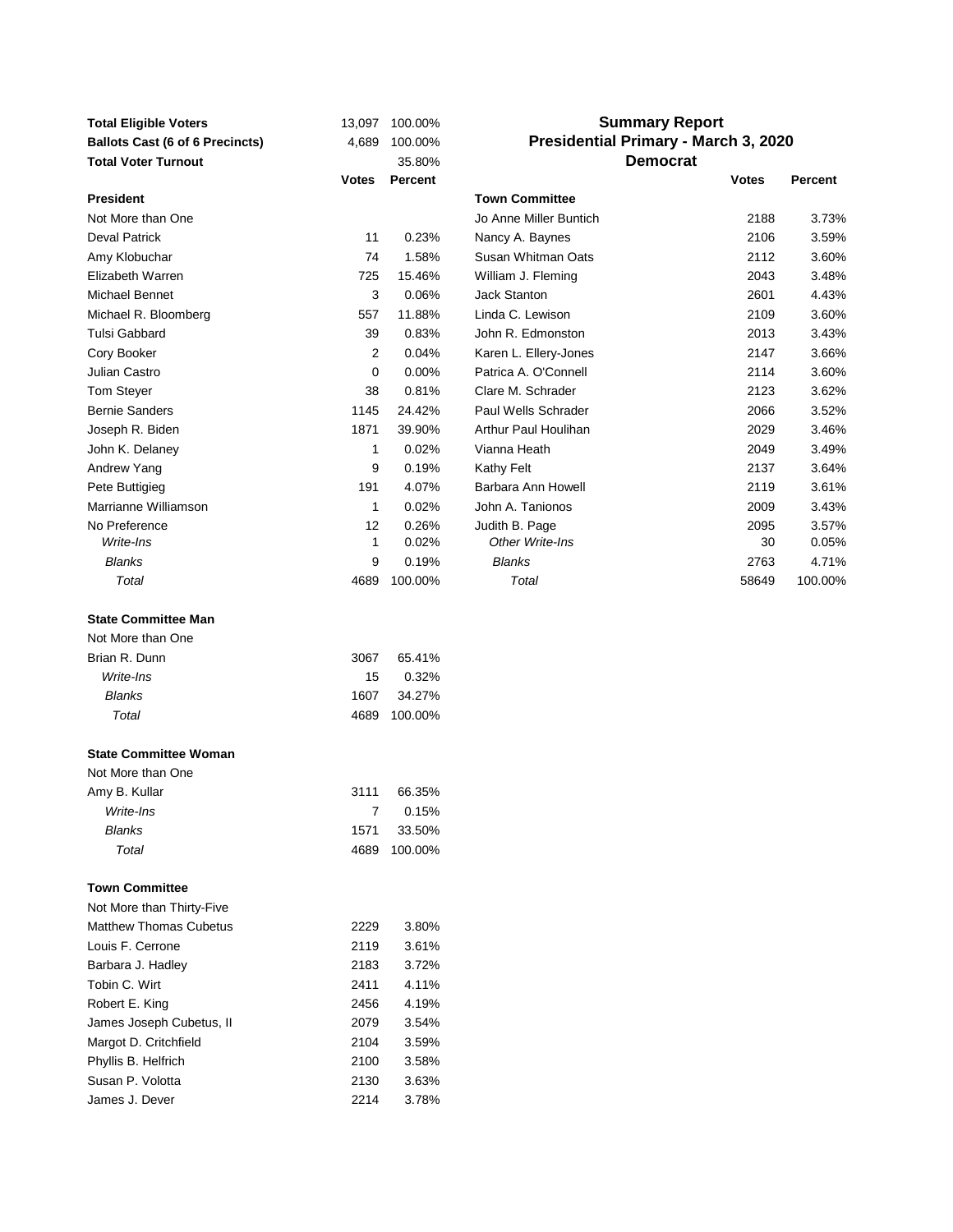| <b>Total Eligible Voters</b><br><b>Ballots Cast (6 of 6 Precincts)</b> | 13,097<br>4,689 | 100.00%<br>100.00% | <b>Summary Report</b><br>Presidential Primary - March 3, 2020 |              |                |
|------------------------------------------------------------------------|-----------------|--------------------|---------------------------------------------------------------|--------------|----------------|
| <b>Total Voter Turnout</b>                                             |                 | 35.80%             | <b>Democrat</b>                                               |              |                |
|                                                                        | Votes           | Percent            |                                                               | <b>Votes</b> | <b>Percent</b> |
| <b>President</b>                                                       |                 |                    | <b>Town Committee</b>                                         |              |                |
| Not More than One                                                      |                 |                    | Jo Anne Miller Buntich                                        | 2188         | 3.73%          |
| Deval Patrick                                                          | 11              | 0.23%              | Nancy A. Baynes                                               | 2106         | 3.59%          |
| Amy Klobuchar                                                          | 74              | 1.58%              | Susan Whitman Oats                                            | 2112         | 3.60%          |
| Elizabeth Warren                                                       | 725             | 15.46%             | William J. Fleming                                            | 2043         | 3.48%          |
| Michael Bennet                                                         | 3               | 0.06%              | <b>Jack Stanton</b>                                           | 2601         | 4.43%          |
| Michael R. Bloomberg                                                   | 557             | 11.88%             | Linda C. Lewison                                              | 2109         | 3.60%          |
| Tulsi Gabbard                                                          | 39              | 0.83%              | John R. Edmonston                                             | 2013         | 3.43%          |
| Cory Booker                                                            | 2               | 0.04%              | Karen L. Ellery-Jones                                         | 2147         | 3.66%          |
| Julian Castro                                                          | 0               | 0.00%              | Patrica A. O'Connell                                          | 2114         | 3.60%          |
| Tom Steyer                                                             | 38              | 0.81%              | Clare M. Schrader                                             | 2123         | 3.62%          |
| <b>Bernie Sanders</b>                                                  | 1145            | 24.42%             | Paul Wells Schrader                                           | 2066         | 3.52%          |
| Joseph R. Biden                                                        | 1871            | 39.90%             | Arthur Paul Houlihan                                          | 2029         | 3.46%          |
| John K. Delaney                                                        | 1               | 0.02%              | Vianna Heath                                                  | 2049         | 3.49%          |
| Andrew Yang                                                            | 9               | 0.19%              | Kathy Felt                                                    | 2137         | 3.64%          |
| Pete Buttigieg                                                         | 191             | 4.07%              | Barbara Ann Howell                                            | 2119         | 3.61%          |
| Marrianne Williamson                                                   | $\mathbf{1}$    | 0.02%              | John A. Tanionos                                              | 2009         | 3.43%          |
| No Preference<br>Write-Ins                                             | 12<br>1         | 0.26%<br>0.02%     | Judith B. Page<br>Other Write-Ins                             | 2095<br>30   | 3.57%          |
| <b>Blanks</b>                                                          | 9               | 0.19%              | <b>Blanks</b>                                                 | 2763         | 0.05%<br>4.71% |
| Total                                                                  | 4689            | 100.00%            | Total                                                         | 58649        | 100.00%        |
|                                                                        |                 |                    |                                                               |              |                |
| <b>State Committee Man</b>                                             |                 |                    |                                                               |              |                |
| Not More than One                                                      |                 |                    |                                                               |              |                |
| Brian R. Dunn                                                          | 3067            | 65.41%             |                                                               |              |                |
| Write-Ins                                                              | 15              | 0.32%              |                                                               |              |                |
| <b>Blanks</b>                                                          | 1607            | 34.27%             |                                                               |              |                |
| Total                                                                  | 4689            | 100.00%            |                                                               |              |                |
|                                                                        |                 |                    |                                                               |              |                |
| <b>State Committee Woman</b>                                           |                 |                    |                                                               |              |                |
| Not More than One                                                      |                 |                    |                                                               |              |                |
| Amy B. Kullar                                                          | 3111            | 66.35%             |                                                               |              |                |
| Write-Ins                                                              | 7               | 0.15%              |                                                               |              |                |
| <b>Blanks</b><br>Total                                                 | 1571<br>4689    | 33.50%<br>100.00%  |                                                               |              |                |
|                                                                        |                 |                    |                                                               |              |                |
| <b>Town Committee</b>                                                  |                 |                    |                                                               |              |                |
| Not More than Thirty-Five                                              |                 |                    |                                                               |              |                |
| <b>Matthew Thomas Cubetus</b>                                          | 2229            | 3.80%              |                                                               |              |                |
| Louis F. Cerrone                                                       | 2119            | 3.61%              |                                                               |              |                |
| Barbara J. Hadley                                                      | 2183            | 3.72%              |                                                               |              |                |
| Tobin C. Wirt                                                          | 2411            | 4.11%              |                                                               |              |                |
| Robert E. King                                                         | 2456            | 4.19%              |                                                               |              |                |
| James Joseph Cubetus, II                                               | 2079            | 3.54%              |                                                               |              |                |
| Margot D. Critchfield                                                  | 2104            | 3.59%              |                                                               |              |                |
| Phyllis B. Helfrich                                                    | 2100            | 3.58%              |                                                               |              |                |
| Susan P. Volotta                                                       | 2130            | 3.63%              |                                                               |              |                |
| James J. Dever                                                         | 2214            | 3.78%              |                                                               |              |                |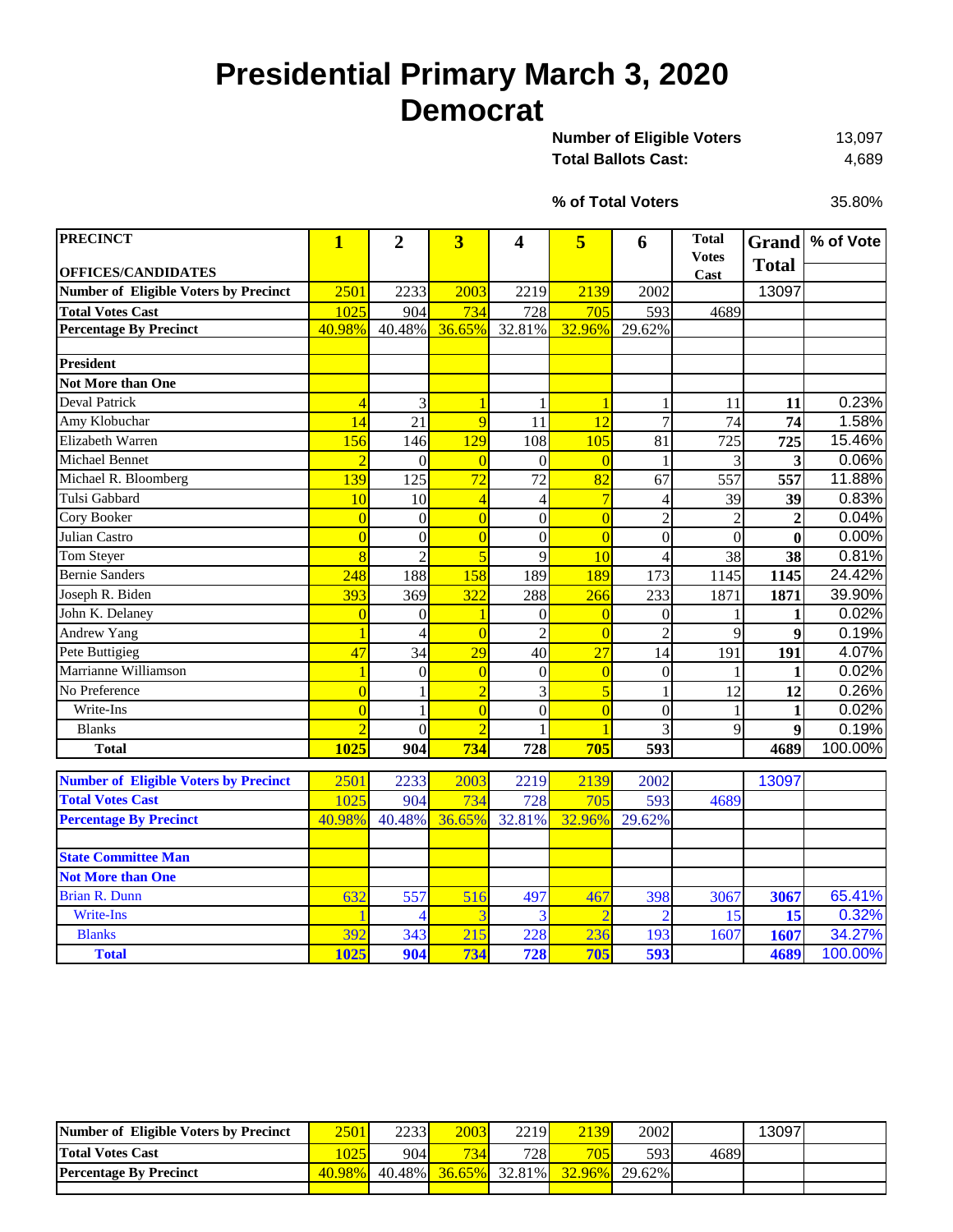## **Presidential Primary March 3, 2020 Democrat**

13,097 Total Ballots Cast: 4,689 **Number of Eligible Voters** 

**% of Total Voters**

35.80%

| <b>PRECINCT</b>                              | $\mathbf{1}$             | $\overline{2}$ | $\overline{\mathbf{3}}$ | 4                | 5               | 6              | <b>Total</b>         |                | Grand % of Vote |
|----------------------------------------------|--------------------------|----------------|-------------------------|------------------|-----------------|----------------|----------------------|----------------|-----------------|
| <b>OFFICES/CANDIDATES</b>                    |                          |                |                         |                  |                 |                | <b>Votes</b><br>Cast | <b>Total</b>   |                 |
| <b>Number of Eligible Voters by Precinct</b> | 2501                     | 2233           | 2003                    | 2219             | 2139            | 2002           |                      | 13097          |                 |
| <b>Total Votes Cast</b>                      | 1025                     | 904            | 734                     | 728              | 705             | 593            | 4689                 |                |                 |
| <b>Percentage By Precinct</b>                | 40.98%                   | 40.48%         | 36.65%                  | 32.81%           | 32.96%          | 29.62%         |                      |                |                 |
|                                              |                          |                |                         |                  |                 |                |                      |                |                 |
| <b>President</b>                             |                          |                |                         |                  |                 |                |                      |                |                 |
| Not More than One                            |                          |                |                         |                  |                 |                |                      |                |                 |
| <b>Deval Patrick</b>                         | $\overline{4}$           | 3              | $\overline{1}$          | 1                | 1               | 1              | 11                   | 11             | 0.23%           |
| Amy Klobuchar                                | 14                       | 21             | 9                       | 11               | 12              | $\overline{7}$ | 74                   | 74             | 1.58%           |
| Elizabeth Warren                             | 156                      | 146            | 129                     | 108              | 105             | 81             | 725                  | 725            | 15.46%          |
| <b>Michael Bennet</b>                        | $\overline{\mathcal{L}}$ | $\overline{0}$ | $\overline{0}$          | $\theta$         | $\overline{0}$  |                | 3                    | 3              | 0.06%           |
| Michael R. Bloomberg                         | 139                      | 125            | 72                      | 72               | 82              | 67             | 557                  | 557            | 11.88%          |
| Tulsi Gabbard                                | 10                       | 10             | $\overline{4}$          | 4                | $\overline{7}$  | $\overline{4}$ | 39                   | 39             | 0.83%           |
| Cory Booker                                  | $\overline{0}$           | $\overline{0}$ | $\overline{0}$          | $\boldsymbol{0}$ | $\overline{0}$  | $\overline{c}$ | $\overline{2}$       | $\overline{2}$ | 0.04%           |
| Julian Castro                                | $\overline{0}$           | $\overline{0}$ | $\overline{0}$          | $\boldsymbol{0}$ | $\overline{0}$  | $\overline{0}$ | $\theta$             | $\bf{0}$       | 0.00%           |
| Tom Steyer                                   | $\overline{8}$           | $\overline{c}$ | $\overline{5}$          | 9                | 10              | $\overline{4}$ | 38                   | 38             | 0.81%           |
| <b>Bernie Sanders</b>                        | 248                      | 188            | 158                     | 189              | 189             | 173            | 1145                 | 1145           | 24.42%          |
| Joseph R. Biden                              | 393                      | 369            | 322                     | 288              | 266             | 233            | 1871                 | 1871           | 39.90%          |
| John K. Delaney                              | $\overline{0}$           | 0              | 1                       | $\Omega$         | $\overline{0}$  | $\overline{0}$ |                      | 1              | 0.02%           |
| <b>Andrew Yang</b>                           |                          | $\overline{4}$ | $\overline{0}$          | $\overline{c}$   | $\overline{0}$  | $\overline{c}$ | 9                    | 9              | 0.19%           |
| Pete Buttigieg                               | 47                       | 34             | 29                      | 40               | $\overline{27}$ | 14             | 191                  | 191            | 4.07%           |
| Marrianne Williamson                         |                          | $\theta$       | $\overline{0}$          | $\overline{0}$   | $\overline{0}$  | $\theta$       |                      | 1              | 0.02%           |
| No Preference                                | $\overline{0}$           | 1              | $\overline{2}$          | 3                | $\overline{5}$  | 1              | 12                   | 12             | 0.26%           |
| Write-Ins                                    | $\overline{0}$           | 1              | $\overline{0}$          | $\overline{0}$   | $\overline{0}$  | $\overline{0}$ |                      | $\mathbf{1}$   | 0.02%           |
| <b>Blanks</b>                                | $\overline{2}$           | $\overline{0}$ | $\overline{2}$          |                  | $\overline{1}$  | 3              | 9                    | 9              | 0.19%           |
| <b>Total</b>                                 | 1025                     | 904            | 734                     | 728              | 705             | 593            |                      | 4689           | 100.00%         |
|                                              |                          |                |                         |                  |                 |                |                      |                |                 |
| <b>Number of Eligible Voters by Precinct</b> | 2501                     | 2233           | 2003                    | 2219             | 2139            | 2002           |                      | 13097          |                 |
| <b>Total Votes Cast</b>                      | 1025                     | 904            | 734                     | 728              | 705             | 593            | 4689                 |                |                 |
| <b>Percentage By Precinct</b>                | 40.98%                   | 40.48%         | 36.65%                  | 32.81%           | 32.96%          | 29.62%         |                      |                |                 |
|                                              |                          |                |                         |                  |                 |                |                      |                |                 |
| <b>State Committee Man</b>                   |                          |                |                         |                  |                 |                |                      |                |                 |
| <b>Not More than One</b>                     |                          |                |                         |                  |                 |                |                      |                |                 |
| <b>Brian R. Dunn</b>                         | 632                      | 557            | 516                     | 497              | 467             | 398            | 3067                 | 3067           | 65.41%          |
| <b>Write-Ins</b>                             |                          | 4              | 3                       |                  | $\overline{2}$  | $\overline{2}$ | 15                   | 15             | 0.32%           |
| <b>Blanks</b>                                | 392                      | 343            | 215                     | 228              | 236             | 193            | 1607                 | 1607           | 34.27%          |
| <b>Total</b>                                 | 1025                     | 904            | 734                     | 728              | 705             | 593            |                      | 4689           | 100.00%         |

| Number of Eligible Voters by Precinct | 2501      | 2233 | 2003 | 2219 <sup> </sup> | 2139                               | 2002 |      | 13097 |  |
|---------------------------------------|-----------|------|------|-------------------|------------------------------------|------|------|-------|--|
| <b>Total Votes Cast</b>               | 025       | 904  | 734  | 728               | 705                                | 5931 | 4689 |       |  |
| <b>Percentage By Precinct</b>         | $40.98\%$ |      |      |                   | 40.48% 36.65% 32.81% 32.96% 29.62% |      |      |       |  |
|                                       |           |      |      |                   |                                    |      |      |       |  |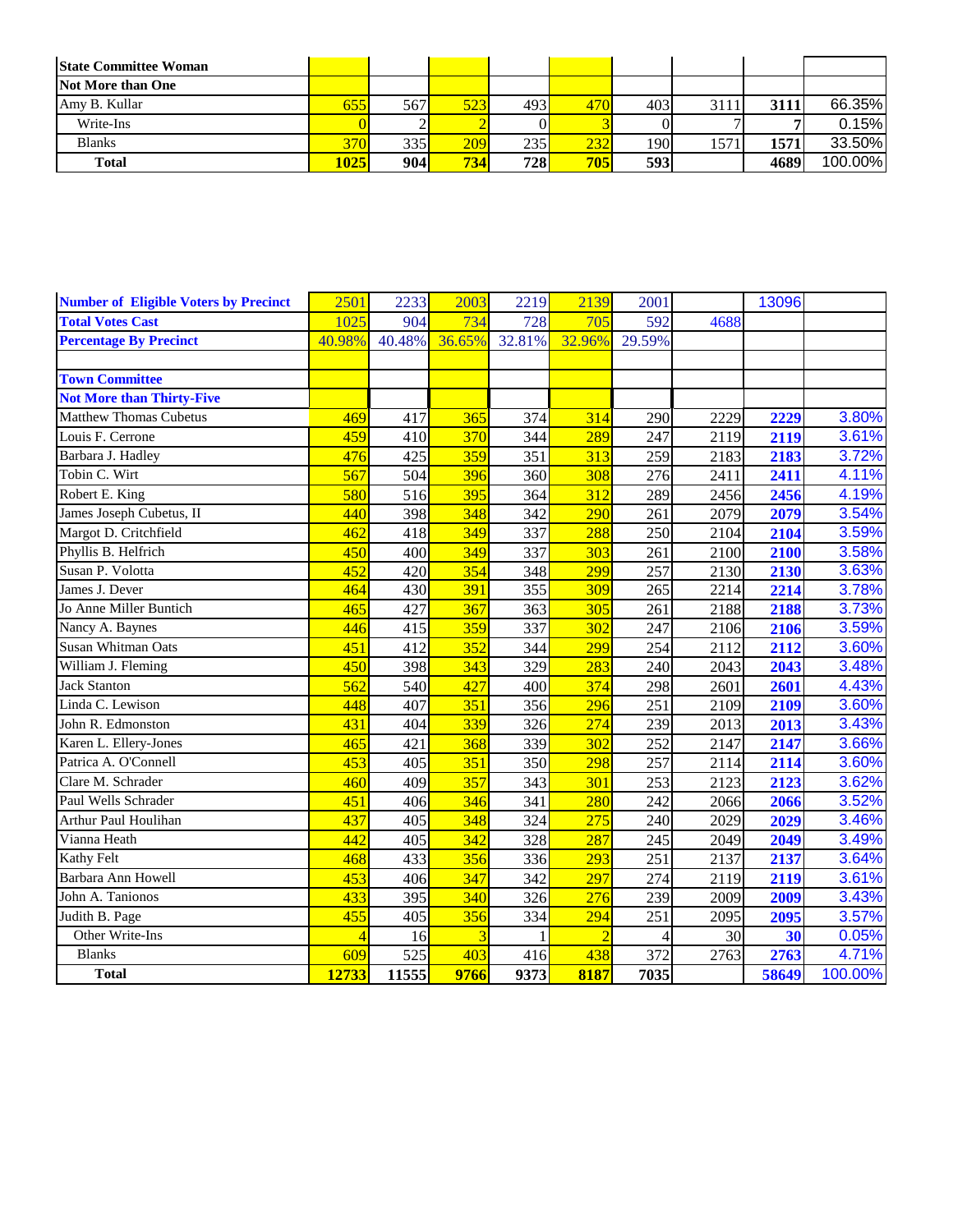| <b>State Committee Woman</b> |      |     |     |      |     |      |      |      |         |
|------------------------------|------|-----|-----|------|-----|------|------|------|---------|
| Not More than One            |      |     |     |      |     |      |      |      |         |
| Amy B. Kullar                | 655  | 567 | 523 | 4931 | 470 | 403  | 3111 | 3111 | 66.35%  |
| Write-Ins                    |      |     |     |      |     |      |      |      | 0.15%   |
| <b>Blanks</b>                | 370  | 335 | 209 | 235  | 232 | 190. | 157  | 1571 | 33.50%  |
| <b>Total</b>                 | 1025 | 904 | 734 | 728  | 705 | 593  |      | 4689 | 100.00% |

| <b>Number of Eligible Voters by Precinct</b> | 2501   | 2233   | 2003                    | 2219   | 2139           | 2001   |      | 13096 |         |
|----------------------------------------------|--------|--------|-------------------------|--------|----------------|--------|------|-------|---------|
| <b>Total Votes Cast</b>                      | 1025   | 904    | 734                     | 728    | 705            | 592    | 4688 |       |         |
| <b>Percentage By Precinct</b>                | 40.98% | 40.48% | 36.65%                  | 32.81% | 32.96%         | 29.59% |      |       |         |
|                                              |        |        |                         |        |                |        |      |       |         |
| <b>Town Committee</b>                        |        |        |                         |        |                |        |      |       |         |
| <b>Not More than Thirty-Five</b>             |        |        |                         |        |                |        |      |       |         |
| <b>Matthew Thomas Cubetus</b>                | 469    | 417    | 365                     | 374    | 314            | 290    | 2229 | 2229  | 3.80%   |
| Louis F. Cerrone                             | 459    | 410    | 370                     | 344    | 289            | 247    | 2119 | 2119  | 3.61%   |
| Barbara J. Hadley                            | 476    | 425    | 359                     | 351    | 313            | 259    | 2183 | 2183  | 3.72%   |
| Tobin C. Wirt                                | 567    | 504    | 396                     | 360    | 308            | 276    | 2411 | 2411  | 4.11%   |
| Robert E. King                               | 580    | 516    | 395                     | 364    | 312            | 289    | 2456 | 2456  | 4.19%   |
| James Joseph Cubetus, II                     | 440    | 398    | 348                     | 342    | 290            | 261    | 2079 | 2079  | 3.54%   |
| Margot D. Critchfield                        | 462    | 418    | 349                     | 337    | 288            | 250    | 2104 | 2104  | 3.59%   |
| Phyllis B. Helfrich                          | 450    | 400    | 349                     | 337    | 303            | 261    | 2100 | 2100  | 3.58%   |
| Susan P. Volotta                             | 452    | 420    | 354                     | 348    | 299            | 257    | 2130 | 2130  | 3.63%   |
| James J. Dever                               | 464    | 430    | 391                     | 355    | 309            | 265    | 2214 | 2214  | 3.78%   |
| Jo Anne Miller Buntich                       | 465    | 427    | 367                     | 363    | 305            | 261    | 2188 | 2188  | 3.73%   |
| Nancy A. Baynes                              | 446    | 415    | 359                     | 337    | 302            | 247    | 2106 | 2106  | 3.59%   |
| Susan Whitman Oats                           | 451    | 412    | 352                     | 344    | 299            | 254    | 2112 | 2112  | 3.60%   |
| William J. Fleming                           | 450    | 398    | 343                     | 329    | 283            | 240    | 2043 | 2043  | 3.48%   |
| <b>Jack Stanton</b>                          | 562    | 540    | 427                     | 400    | 374            | 298    | 2601 | 2601  | 4.43%   |
| Linda C. Lewison                             | 448    | 407    | 351                     | 356    | 296            | 251    | 2109 | 2109  | 3.60%   |
| John R. Edmonston                            | 431    | 404    | 339                     | 326    | 274            | 239    | 2013 | 2013  | 3.43%   |
| Karen L. Ellery-Jones                        | 465    | 421    | 368                     | 339    | 302            | 252    | 2147 | 2147  | 3.66%   |
| Patrica A. O'Connell                         | 453    | 405    | 351                     | 350    | 298            | 257    | 2114 | 2114  | 3.60%   |
| Clare M. Schrader                            | 460    | 409    | 357                     | 343    | 301            | 253    | 2123 | 2123  | 3.62%   |
| Paul Wells Schrader                          | 451    | 406    | 346                     | 341    | 280            | 242    | 2066 | 2066  | 3.52%   |
| Arthur Paul Houlihan                         | 437    | 405    | 348                     | 324    | 275            | 240    | 2029 | 2029  | 3.46%   |
| Vianna Heath                                 | 442    | 405    | 342                     | 328    | 287            | 245    | 2049 | 2049  | 3.49%   |
| <b>Kathy Felt</b>                            | 468    | 433    | 356                     | 336    | 293            | 251    | 2137 | 2137  | 3.64%   |
| Barbara Ann Howell                           | 453    | 406    | 347                     | 342    | 297            | 274    | 2119 | 2119  | 3.61%   |
| John A. Tanionos                             | 433    | 395    | 340                     | 326    | 276            | 239    | 2009 | 2009  | 3.43%   |
| Judith B. Page                               | 455    | 405    | 356                     | 334    | 294            | 251    | 2095 | 2095  | 3.57%   |
| Other Write-Ins                              | 4      | 16     | $\overline{\mathbf{3}}$ |        | $\overline{2}$ | 4      | 30   | 30    | 0.05%   |
| <b>Blanks</b>                                | 609    | 525    | 403                     | 416    | 438            | 372    | 2763 | 2763  | 4.71%   |
| <b>Total</b>                                 | 12733  | 11555  | 9766                    | 9373   | 8187           | 7035   |      | 58649 | 100.00% |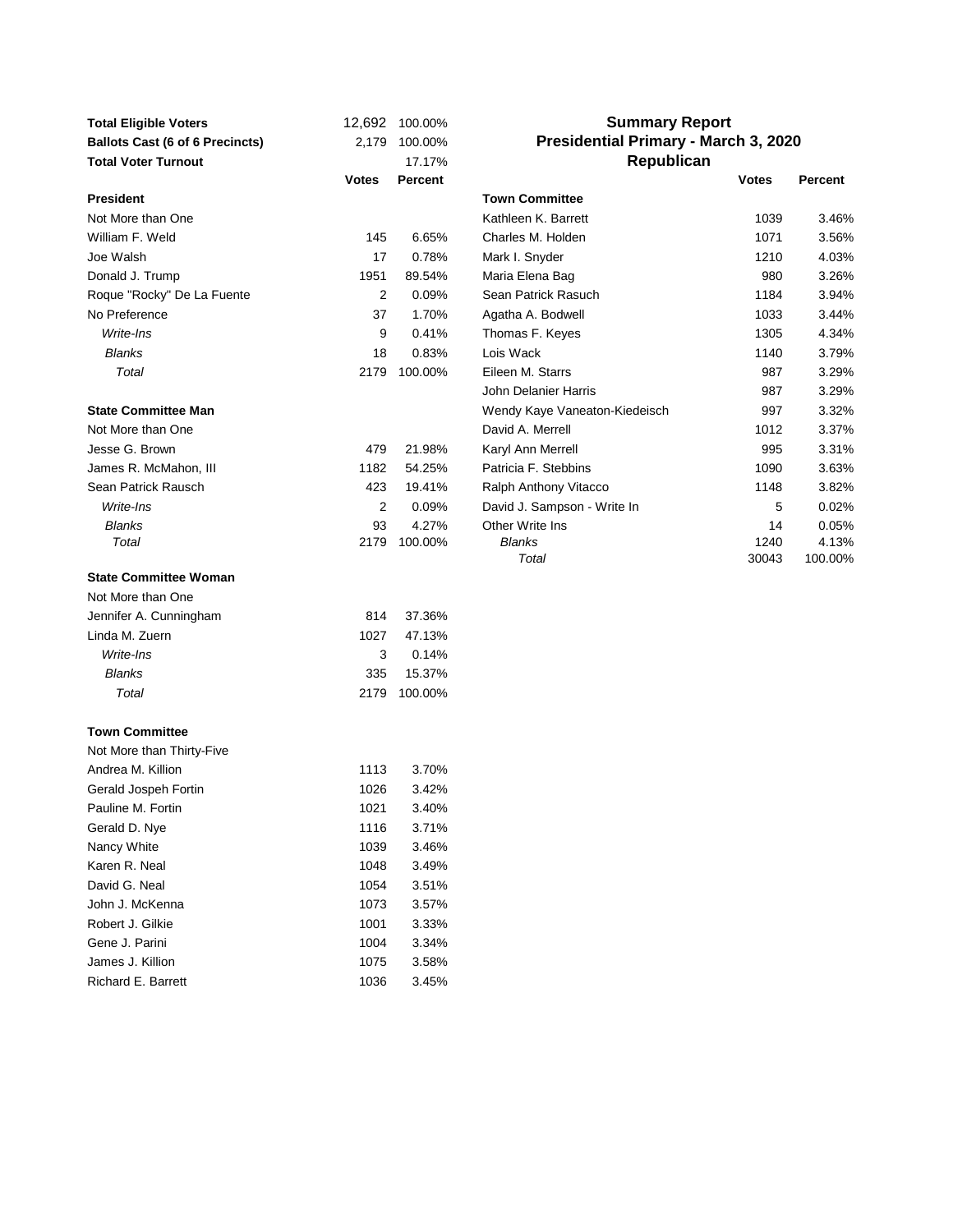| <b>Total Eligible Voters</b><br><b>Ballots Cast (6 of 6 Precincts)</b><br><b>Total Voter Turnout</b> | 2,179        | 12,692 100.00%<br>100.00%<br>17.17% |                               | <b>Summary Report</b><br>Presidential Primary - March 3, 2020<br>Republican |         |  |  |  |  |  |
|------------------------------------------------------------------------------------------------------|--------------|-------------------------------------|-------------------------------|-----------------------------------------------------------------------------|---------|--|--|--|--|--|
|                                                                                                      | <b>Votes</b> | Percent                             |                               | <b>Votes</b>                                                                | Percent |  |  |  |  |  |
| <b>President</b>                                                                                     |              |                                     | <b>Town Committee</b>         |                                                                             |         |  |  |  |  |  |
| Not More than One                                                                                    |              |                                     | Kathleen K. Barrett           | 1039                                                                        | 3.46%   |  |  |  |  |  |
| William F. Weld                                                                                      | 145          | 6.65%                               | Charles M. Holden             | 1071                                                                        | 3.56%   |  |  |  |  |  |
| Joe Walsh                                                                                            | 17           | 0.78%                               | Mark I. Snyder                | 1210                                                                        | 4.03%   |  |  |  |  |  |
| Donald J. Trump                                                                                      | 1951         | 89.54%                              | Maria Elena Bag               | 980                                                                         | 3.26%   |  |  |  |  |  |
| Roque "Rocky" De La Fuente                                                                           | 2            | 0.09%                               | Sean Patrick Rasuch           | 1184                                                                        | 3.94%   |  |  |  |  |  |
| No Preference                                                                                        | 37           | 1.70%                               | Agatha A. Bodwell             | 1033                                                                        | 3.44%   |  |  |  |  |  |
| Write-Ins                                                                                            | 9            | 0.41%                               | Thomas F. Keyes               | 1305                                                                        | 4.34%   |  |  |  |  |  |
| <b>Blanks</b>                                                                                        | 18           | 0.83%                               | Lois Wack                     | 1140                                                                        | 3.79%   |  |  |  |  |  |
| Total                                                                                                | 2179         | 100.00%                             | Eileen M. Starrs              | 987                                                                         | 3.29%   |  |  |  |  |  |
|                                                                                                      |              |                                     | John Delanier Harris          | 987                                                                         | 3.29%   |  |  |  |  |  |
| <b>State Committee Man</b>                                                                           |              |                                     | Wendy Kaye Vaneaton-Kiedeisch | 997                                                                         | 3.32%   |  |  |  |  |  |
| Not More than One                                                                                    |              |                                     | David A. Merrell              | 1012                                                                        | 3.37%   |  |  |  |  |  |
| Jesse G. Brown                                                                                       | 479          | 21.98%                              | Karyl Ann Merrell             | 995                                                                         | 3.31%   |  |  |  |  |  |
| James R. McMahon, III                                                                                | 1182         | 54.25%                              | Patricia F. Stebbins          | 1090                                                                        | 3.63%   |  |  |  |  |  |
| Sean Patrick Rausch                                                                                  | 423          | 19.41%                              | Ralph Anthony Vitacco         | 1148                                                                        | 3.82%   |  |  |  |  |  |
| Write-Ins                                                                                            | 2            | 0.09%                               | David J. Sampson - Write In   | 5                                                                           | 0.02%   |  |  |  |  |  |
| <b>Blanks</b>                                                                                        | 93           | 4.27%                               | Other Write Ins               | 14                                                                          | 0.05%   |  |  |  |  |  |
| Total                                                                                                | 2179         | 100.00%                             | <b>Blanks</b>                 | 1240                                                                        | 4.13%   |  |  |  |  |  |
|                                                                                                      |              |                                     | Total                         | 30043                                                                       | 100.00% |  |  |  |  |  |
| <b>State Committee Woman</b>                                                                         |              |                                     |                               |                                                                             |         |  |  |  |  |  |
| Not More than One                                                                                    |              |                                     |                               |                                                                             |         |  |  |  |  |  |
| Jennifer A. Cunningham                                                                               | 814          | 37.36%                              |                               |                                                                             |         |  |  |  |  |  |
| Linda M. Zuern                                                                                       | 1027         | 47.13%                              |                               |                                                                             |         |  |  |  |  |  |
| Write-Ins                                                                                            | 3            | 0.14%                               |                               |                                                                             |         |  |  |  |  |  |
| <b>Blanks</b>                                                                                        | 335          | 15.37%                              |                               |                                                                             |         |  |  |  |  |  |
| Total                                                                                                | 2179         | 100.00%                             |                               |                                                                             |         |  |  |  |  |  |
| <b>Town Committee</b>                                                                                |              |                                     |                               |                                                                             |         |  |  |  |  |  |
| Not More than Thirty-Five                                                                            |              |                                     |                               |                                                                             |         |  |  |  |  |  |
| Andrea M. Killion                                                                                    | 1113         | 3.70%                               |                               |                                                                             |         |  |  |  |  |  |
| Gerald Jospeh Fortin                                                                                 | 1026         | 3.42%                               |                               |                                                                             |         |  |  |  |  |  |
| Pauline M. Fortin                                                                                    | 1021         | 3.40%                               |                               |                                                                             |         |  |  |  |  |  |
| Gerald D. Nye                                                                                        | 1116         | 3.71%                               |                               |                                                                             |         |  |  |  |  |  |
| Nancy White                                                                                          | 1039         | 3.46%                               |                               |                                                                             |         |  |  |  |  |  |
| Karen R. Neal                                                                                        | 1048         | 3.49%                               |                               |                                                                             |         |  |  |  |  |  |
| David G. Neal                                                                                        | 1054         | 3.51%                               |                               |                                                                             |         |  |  |  |  |  |
| John J. McKenna                                                                                      | 1073         | 3.57%                               |                               |                                                                             |         |  |  |  |  |  |
| Robert J. Gilkie                                                                                     | 1001         | 3.33%                               |                               |                                                                             |         |  |  |  |  |  |
| Gene J. Parini                                                                                       | 1004         | 3.34%                               |                               |                                                                             |         |  |  |  |  |  |
| James J. Killion                                                                                     | 1075         | 3.58%                               |                               |                                                                             |         |  |  |  |  |  |
| Richard E. Barrett                                                                                   | 1036         | 3.45%                               |                               |                                                                             |         |  |  |  |  |  |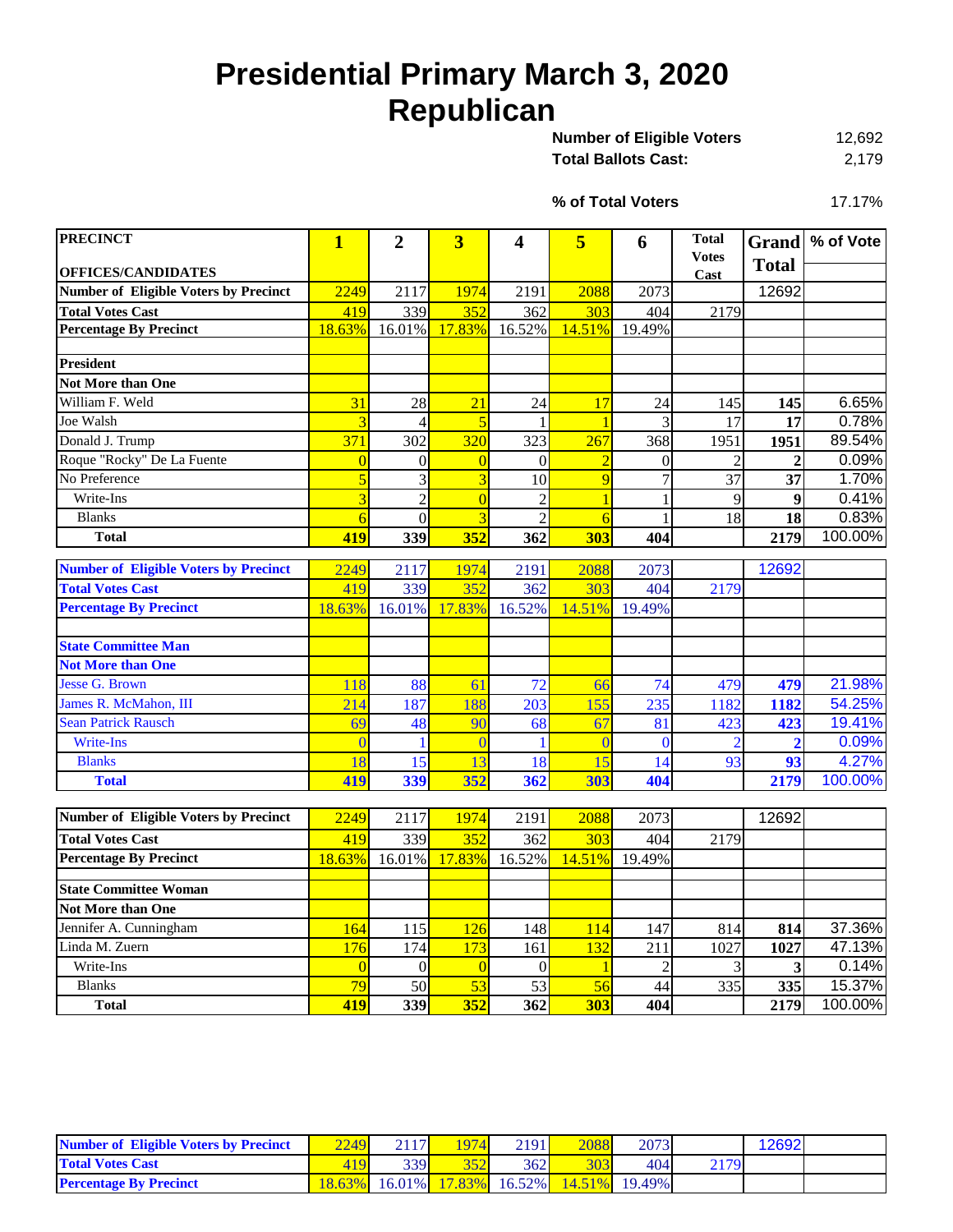# **Presidential Primary March 3, 2020 Republican**

| <b>Number of Eligible Voters</b> | 12.692 |
|----------------------------------|--------|
| Total Ballots Cast:              | 2,179  |

17.17% **% of Total Voters**

| <b>PRECINCT</b>                              | $\mathbf{1}$   | $\overline{2}$   | $\overline{\mathbf{3}}$ | 4              | 5              | 6              | <b>Total</b>         | <b>Grand</b>    | % of Vote |
|----------------------------------------------|----------------|------------------|-------------------------|----------------|----------------|----------------|----------------------|-----------------|-----------|
| <b>OFFICES/CANDIDATES</b>                    |                |                  |                         |                |                |                | <b>Votes</b><br>Cast | <b>Total</b>    |           |
| <b>Number of Eligible Voters by Precinct</b> | 2249           | 2117             | 1974                    | 2191           | 2088           | 2073           |                      | 12692           |           |
| <b>Total Votes Cast</b>                      | 419            | 339              | 352                     | 362            | 303            | 404            | 2179                 |                 |           |
| <b>Percentage By Precinct</b>                | 18.63%         | 16.01%           | 17.83%                  | 16.52%         | 14.51%         | 19.49%         |                      |                 |           |
|                                              |                |                  |                         |                |                |                |                      |                 |           |
| <b>President</b>                             |                |                  |                         |                |                |                |                      |                 |           |
| <b>Not More than One</b>                     |                |                  |                         |                |                |                |                      |                 |           |
| William F. Weld                              | 31             | 28               | $\overline{21}$         | 24             | 17             | 24             | 145                  | 145             | 6.65%     |
| Joe Walsh                                    | $\overline{3}$ | $\overline{4}$   | 5                       | $\mathbf{1}$   | $\mathbf{1}$   | 3              | 17                   | 17              | 0.78%     |
| Donald J. Trump                              | 371            | 302              | 320                     | 323            | 267            | 368            | 1951                 | 1951            | 89.54%    |
| Roque "Rocky" De La Fuente                   | $\overline{0}$ | $\boldsymbol{0}$ | $\overline{0}$          | $\Omega$       | $\overline{2}$ | $\theta$       | $\overline{2}$       | $\overline{2}$  | 0.09%     |
| No Preference                                | 5              | 3                | $\overline{3}$          | 10             | 9              | $\overline{7}$ | $\overline{37}$      | $\overline{37}$ | 1.70%     |
| Write-Ins                                    | $\overline{3}$ | $\overline{2}$   | $\overline{0}$          | $\overline{2}$ | $\overline{1}$ |                | 9                    | 9               | 0.41%     |
| <b>Blanks</b>                                | $\overline{6}$ | $\mathbf{0}$     | $\overline{3}$          | $\overline{c}$ | $\overline{6}$ | 1              | 18                   | 18              | 0.83%     |
| <b>Total</b>                                 | 419            | 339              | 352                     | 362            | 303            | 404            |                      | 2179            | 100.00%   |
| <b>Number of Eligible Voters by Precinct</b> | 2249           | 2117             | 1974                    | 2191           | 2088           | 2073           |                      | 12692           |           |
| <b>Total Votes Cast</b>                      | 419            | 339              | 352                     | 362            | 303            | 404            | 2179                 |                 |           |
| <b>Percentage By Precinct</b>                |                |                  | 17.83%                  |                | 14.51%         | 19.49%         |                      |                 |           |
|                                              | 18.63%         | 16.01%           |                         | 16.52%         |                |                |                      |                 |           |
| <b>State Committee Man</b>                   |                |                  |                         |                |                |                |                      |                 |           |
| <b>Not More than One</b>                     |                |                  |                         |                |                |                |                      |                 |           |
| <b>Jesse G. Brown</b>                        | 118            | 88               | 61                      | 72             | 66             | 74             | 479                  | 479             | 21.98%    |
| James R. McMahon, III                        | 214            | 187              | 188                     | 203            | 155            | 235            | 1182                 | 1182            | 54.25%    |
| <b>Sean Patrick Rausch</b>                   | 69             | 48               | 90                      | 68             | 67             | 81             | 423                  | 423             | 19.41%    |
| <b>Write-Ins</b>                             | $\overline{0}$ |                  | $\overline{0}$          |                | $\overline{0}$ | $\theta$       | $\overline{2}$       | $\overline{2}$  | 0.09%     |
| <b>Blanks</b>                                | 18             | 15               | 13                      | 18             | 15             | 14             | 93                   | 93              | 4.27%     |
| <b>Total</b>                                 | 419            | 339              | 352                     | 362            | 303            | 404            |                      | 2179            | 100.00%   |
|                                              |                |                  |                         |                |                |                |                      |                 |           |
| <b>Number of Eligible Voters by Precinct</b> | 2249           | 2117             | 1974                    | 2191           | 2088           | 2073           |                      | 12692           |           |
| <b>Total Votes Cast</b>                      | 419            | 339              | 352                     | 362            | 303            | 404            | 2179                 |                 |           |
| <b>Percentage By Precinct</b>                | 18.63%         | 16.01%           | 17.83%                  | 16.52%         | 14.51%         | 19.49%         |                      |                 |           |
| <b>State Committee Woman</b>                 |                |                  |                         |                |                |                |                      |                 |           |
| Not More than One                            |                |                  |                         |                |                |                |                      |                 |           |
| Jennifer A. Cunningham                       | 164            | 115              | 126                     | 148            | 114            | 147            | 814                  | 814             | 37.36%    |
| Linda M. Zuern                               | 176            | 174              | 173                     | 161            | 132            | 211            | 1027                 | 1027            | 47.13%    |
| Write-Ins                                    | $\overline{0}$ | $\boldsymbol{0}$ | $\overline{0}$          | $\theta$       | $\mathbf{1}$   | $\overline{2}$ | 3                    | 3               | 0.14%     |
| <b>Blanks</b>                                | 79             | 50               | 53                      | 53             | 56             | 44             | 335                  | 335             | 15.37%    |
| <b>Total</b>                                 | 419            | 339              | 352                     | 362            | 303            | 404            |                      | 2179            | 100.00%   |

| <b>Number of Eligible Voters by Precinct</b> | 2249 | 2117 | 1974 | 2191 | 2088                                      | 2073 |      | 12692 |  |
|----------------------------------------------|------|------|------|------|-------------------------------------------|------|------|-------|--|
| <b>Total Votes Cast</b>                      |      | 339I | 352  | 362  | 303                                       | 404  | 2179 |       |  |
| <b>Percentage By Precinct</b>                |      |      |      |      | 18.63% 16.01% 17.83% 16.52% 14.51% 19.49% |      |      |       |  |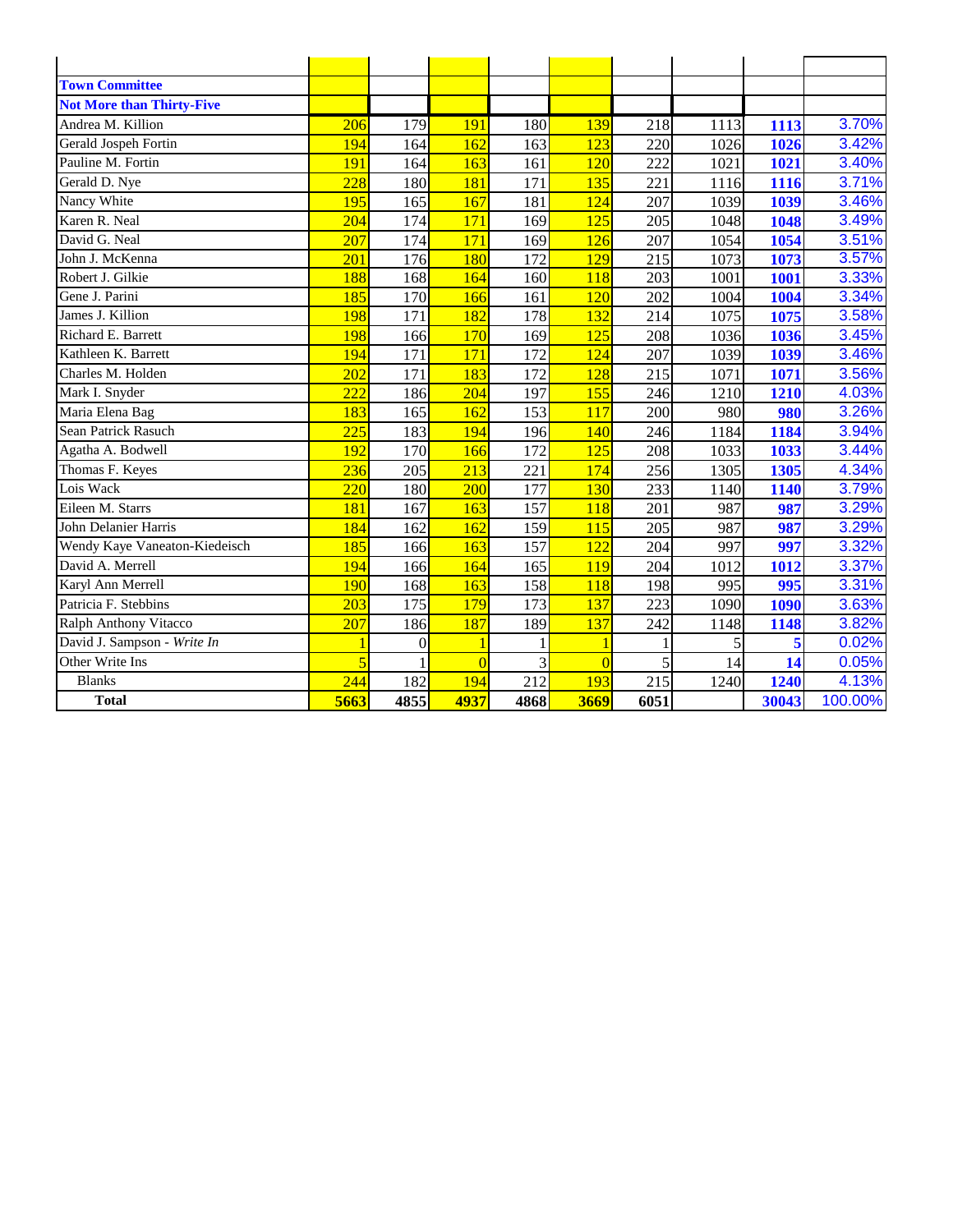| <b>Town Committee</b>            |      |                  |                |                  |                |      |      |       |         |
|----------------------------------|------|------------------|----------------|------------------|----------------|------|------|-------|---------|
| <b>Not More than Thirty-Five</b> |      |                  |                |                  |                |      |      |       |         |
| Andrea M. Killion                | 206  | 179              | 191            | 180              | 139            | 218  | 1113 | 1113  | 3.70%   |
| Gerald Jospeh Fortin             | 194  | 164              | 162            | 163              | 123            | 220  | 1026 | 1026  | 3.42%   |
| Pauline M. Fortin                | 191  | 164              | 163            | 161              | 120            | 222  | 1021 | 1021  | 3.40%   |
| Gerald D. Nye                    | 228  | 180              | 181            | 171              | 135            | 221  | 1116 | 1116  | 3.71%   |
| Nancy White                      | 195  | 165              | 167            | 181              | 124            | 207  | 1039 | 1039  | 3.46%   |
| Karen R. Neal                    | 204  | 174              | 171            | 169              | 125            | 205  | 1048 | 1048  | 3.49%   |
| David G. Neal                    | 207  | 174              | 171            | 169              | 126            | 207  | 1054 | 1054  | 3.51%   |
| John J. McKenna                  | 201  | 176              | 180            | 172              | 129            | 215  | 1073 | 1073  | 3.57%   |
| Robert J. Gilkie                 | 188  | 168              | 164            | 160              | 118            | 203  | 1001 | 1001  | 3.33%   |
| Gene J. Parini                   | 185  | 170              | 166            | 161              | 120            | 202  | 1004 | 1004  | 3.34%   |
| James J. Killion                 | 198  | 171              | 182            | 178              | 132            | 214  | 1075 | 1075  | 3.58%   |
| Richard E. Barrett               | 198  | 166              | 170            | 169              | 125            | 208  | 1036 | 1036  | 3.45%   |
| Kathleen K. Barrett              | 194  | 171              | 171            | 172              | 124            | 207  | 1039 | 1039  | 3.46%   |
| Charles M. Holden                | 202  | 171              | 183            | 172              | 128            | 215  | 1071 | 1071  | 3.56%   |
| Mark I. Snyder                   | 222  | 186              | 204            | 197              | 155            | 246  | 1210 | 1210  | 4.03%   |
| Maria Elena Bag                  | 183  | 165              | 162            | 153              | 117            | 200  | 980  | 980   | 3.26%   |
| Sean Patrick Rasuch              | 225  | 183              | 194            | 196              | 140            | 246  | 1184 | 1184  | 3.94%   |
| Agatha A. Bodwell                | 192  | 170              | 166            | 172              | 125            | 208  | 1033 | 1033  | 3.44%   |
| Thomas F. Keyes                  | 236  | 205              | 213            | 221              | 174            | 256  | 1305 | 1305  | 4.34%   |
| Lois Wack                        | 220  | 180              | 200            | 177              | 130            | 233  | 1140 | 1140  | 3.79%   |
| Eileen M. Starrs                 | 181  | 167              | 163            | 157              | 118            | 201  | 987  | 987   | 3.29%   |
| John Delanier Harris             | 184  | 162              | 162            | 159              | 115            | 205  | 987  | 987   | 3.29%   |
| Wendy Kaye Vaneaton-Kiedeisch    | 185  | 166              | 163            | 157              | 122            | 204  | 997  | 997   | 3.32%   |
| David A. Merrell                 | 194  | 166              | 164            | 165              | 119            | 204  | 1012 | 1012  | 3.37%   |
| Karyl Ann Merrell                | 190  | 168              | 163            | 158              | 118            | 198  | 995  | 995   | 3.31%   |
| Patricia F. Stebbins             | 203  | 175              | 179            | 173              | 137            | 223  | 1090 | 1090  | 3.63%   |
| Ralph Anthony Vitacco            | 207  | 186              | 187            | 189              | 137            | 242  | 1148 | 1148  | 3.82%   |
| David J. Sampson - Write In      |      | $\boldsymbol{0}$ | 1              |                  |                |      | 5    | 5     | 0.02%   |
| Other Write Ins                  | 5    |                  | $\overline{0}$ | 3                | $\overline{0}$ | 5    | 14   | 14    | 0.05%   |
| <b>Blanks</b>                    | 244  | 182              | 194            | $\overline{212}$ | 193            | 215  | 1240 | 1240  | 4.13%   |
| <b>Total</b>                     | 5663 | 4855             | 4937           | 4868             | 3669           | 6051 |      | 30043 | 100.00% |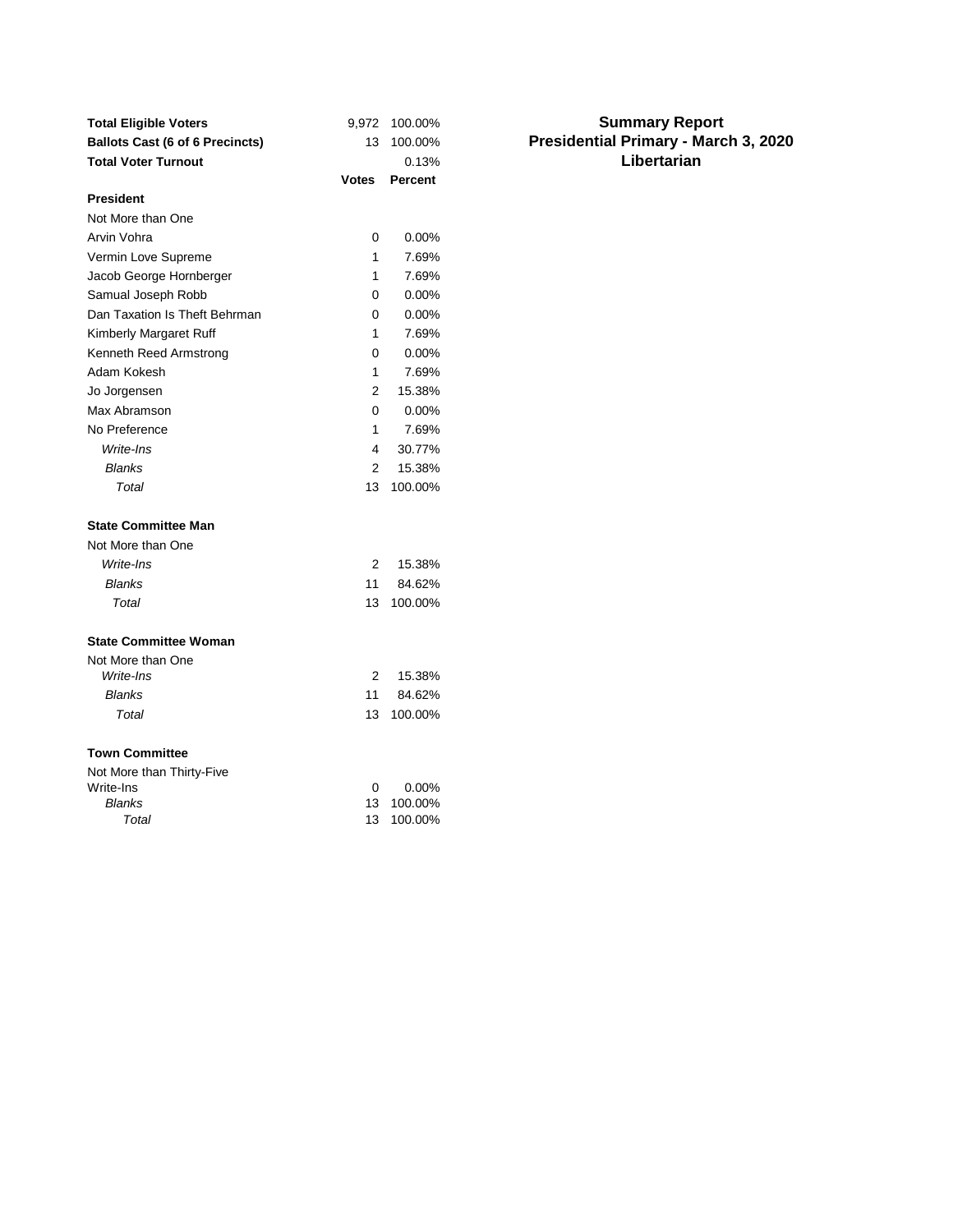| <b>Total Eligible Voters</b>           | 9,972          | 100.00%        |
|----------------------------------------|----------------|----------------|
| <b>Ballots Cast (6 of 6 Precincts)</b> | 13             | 100.00%        |
| <b>Total Voter Turnout</b>             |                | 0.13%          |
|                                        | <b>Votes</b>   | <b>Percent</b> |
| <b>President</b>                       |                |                |
| Not More than One                      |                |                |
| Arvin Vohra                            | 0              | 0.00%          |
| Vermin Love Supreme                    | 1              | 7.69%          |
| Jacob George Hornberger                | 1              | 7.69%          |
| Samual Joseph Robb                     | 0              | 0.00%          |
| Dan Taxation Is Theft Behrman          | 0              | 0.00%          |
| Kimberly Margaret Ruff                 | 1              | 7.69%          |
| Kenneth Reed Armstrong                 | 0              | 0.00%          |
| Adam Kokesh                            | 1              | 7.69%          |
| Jo Jorgensen                           | 2              | 15.38%         |
| Max Abramson                           | 0              | $0.00\%$       |
| No Preference                          | 1              | 7.69%          |
| Write-Ins                              | 4              | 30.77%         |
| <b>Blanks</b>                          | $\overline{2}$ | 15.38%         |
| Total                                  | 13             | 100.00%        |
| <b>State Committee Man</b>             |                |                |
| Not More than One                      |                |                |
| Write-Ins                              | 2              | 15.38%         |
| <b>Blanks</b>                          | 11             | 84.62%         |
| Total                                  | 13             | 100.00%        |
| <b>State Committee Woman</b>           |                |                |
| Not More than One                      |                |                |
| Write-Ins                              | 2              | 15.38%         |
| <b>Blanks</b>                          | 11             | 84.62%         |
| Total                                  | 13             | 100.00%        |
| <b>Town Committee</b>                  |                |                |
| Not More than Thirty-Five              |                |                |
| Write-Ins                              | 0              | 0.00%          |
| <b>Blanks</b>                          | 13             | 100.00%        |
| Total                                  | 13             | 100.00%        |

#### **Summary Report Presidential Primary - March 3, 2020 Libertarian**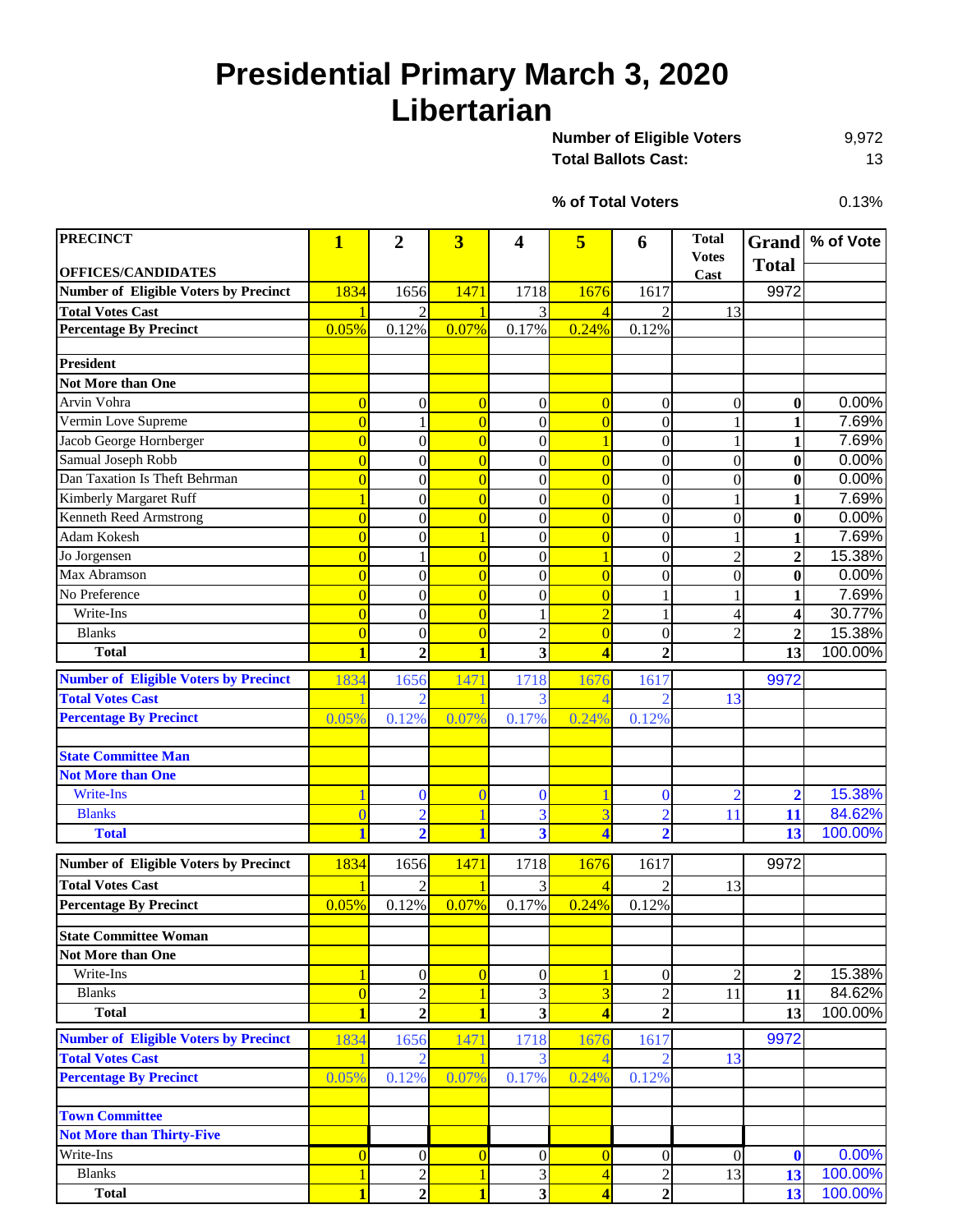### **Presidential Primary March 3, 2020 Libertarian**

9,972 Total Ballots Cast: 13 **Number of Eligible Voters** 

**% of Total Voters**

0.13%

| <b>PRECINCT</b><br><b>OFFICES/CANDIDATES</b> | $\mathbf{1}$            | $\overline{2}$   | 3                       | 4                       | 5                       | 6                | <b>Total</b><br><b>Votes</b> | <b>Total</b>            | Grand   % of Vote |
|----------------------------------------------|-------------------------|------------------|-------------------------|-------------------------|-------------------------|------------------|------------------------------|-------------------------|-------------------|
| <b>Number of Eligible Voters by Precinct</b> | 1834                    | 1656             | 1471                    | 1718                    | 1676                    | 1617             | Cast                         | 9972                    |                   |
| <b>Total Votes Cast</b>                      |                         | $\mathfrak{D}$   |                         | 3                       |                         | $\mathfrak{D}$   | 13                           |                         |                   |
| <b>Percentage By Precinct</b>                | 0.05%                   | 0.12%            | 0.07%                   | 0.17%                   | 0.24%                   | 0.12%            |                              |                         |                   |
|                                              |                         |                  |                         |                         |                         |                  |                              |                         |                   |
| <b>President</b>                             |                         |                  |                         |                         |                         |                  |                              |                         |                   |
| <b>Not More than One</b>                     |                         |                  |                         |                         |                         |                  |                              |                         |                   |
| Arvin Vohra                                  | $\overline{0}$          | $\boldsymbol{0}$ | $\overline{0}$          | $\boldsymbol{0}$        | $\overline{0}$          | 0                | $\boldsymbol{0}$             | $\bf{0}$                | 0.00%             |
| Vermin Love Supreme                          | $\overline{0}$          | 1                | $\overline{0}$          | $\boldsymbol{0}$        | $\overline{0}$          | $\overline{0}$   | 1                            | 1                       | 7.69%             |
| Jacob George Hornberger                      | $\overline{0}$          | $\boldsymbol{0}$ | $\overline{0}$          | $\boldsymbol{0}$        |                         | $\boldsymbol{0}$ | 1                            | 1                       | 7.69%             |
| Samual Joseph Robb                           | $\overline{0}$          | $\boldsymbol{0}$ | $\overline{0}$          | $\overline{0}$          | $\overline{0}$          | $\overline{0}$   | $\boldsymbol{0}$             | $\bf{0}$                | 0.00%             |
| Dan Taxation Is Theft Behrman                | $\overline{0}$          | $\overline{0}$   | $\overline{0}$          | $\overline{0}$          | $\overline{0}$          | $\boldsymbol{0}$ | $\overline{0}$               | $\bf{0}$                | 0.00%             |
| Kimberly Margaret Ruff                       |                         | $\boldsymbol{0}$ | $\overline{0}$          | $\boldsymbol{0}$        | $\overline{0}$          | $\boldsymbol{0}$ | $\mathbf{1}$                 | 1                       | 7.69%             |
| Kenneth Reed Armstrong                       | $\Omega$                | $\overline{0}$   | $\overline{0}$          | $\overline{0}$          | $\overline{0}$          | $\overline{0}$   | $\boldsymbol{0}$             | $\bf{0}$                | 0.00%             |
| Adam Kokesh                                  | $\overline{0}$          | $\overline{0}$   | $\mathbf{1}$            | $\boldsymbol{0}$        | $\overline{0}$          | $\overline{0}$   | 1                            | 1                       | 7.69%             |
| Jo Jorgensen                                 | $\overline{0}$          | 1                | $\overline{0}$          | $\overline{0}$          | 1                       | $\overline{0}$   | $\overline{c}$               | $\overline{2}$          | 15.38%            |
| Max Abramson                                 | $\overline{0}$          | $\boldsymbol{0}$ | $\overline{0}$          | $\boldsymbol{0}$        | $\overline{0}$          | $\overline{0}$   | $\boldsymbol{0}$             | $\bf{0}$                | 0.00%             |
| No Preference                                | $\overline{0}$          | $\overline{0}$   | $\overline{0}$          | $\boldsymbol{0}$        | $\overline{0}$          |                  | 1                            | 1                       | 7.69%             |
| Write-Ins                                    | $\overline{0}$          | $\overline{0}$   | $\overline{0}$          | 1                       | $\overline{2}$          |                  | $\overline{4}$               | 4                       | 30.77%            |
| <b>Blanks</b>                                | $\overline{0}$          | $\boldsymbol{0}$ | $\overline{0}$          | $\overline{c}$          | $\overline{0}$          | 0                | $\overline{c}$               | $\mathbf{2}$            | 15.38%            |
| <b>Total</b>                                 | 1                       | $\overline{2}$   | $\overline{\mathbf{1}}$ | 3                       | $\overline{\mathbf{A}}$ | $\overline{2}$   |                              | 13                      | 100.00%           |
| <b>Number of Eligible Voters by Precinct</b> | 1834                    | 1656             | 1471                    | 1718                    | 1676                    | 161              |                              | 9972                    |                   |
| <b>Total Votes Cast</b>                      |                         | $\overline{2}$   |                         | 3                       | Δ                       | 2                | 13                           |                         |                   |
| <b>Percentage By Precinct</b>                | 0.05%                   | 0.12%            | 0.07%                   | 0.17%                   | 0.24%                   | 0.12%            |                              |                         |                   |
|                                              |                         |                  |                         |                         |                         |                  |                              |                         |                   |
| <b>State Committee Man</b>                   |                         |                  |                         |                         |                         |                  |                              |                         |                   |
| <b>Not More than One</b>                     |                         |                  |                         |                         |                         |                  |                              |                         |                   |
| Write-Ins                                    |                         | $\mathbf{0}$     | $\overline{0}$          | $\mathbf{0}$            |                         | $\bf{0}$         | $\overline{2}$               | $\overline{\mathbf{2}}$ | 15.38%            |
| <b>Blanks</b>                                | $\theta$                | $\overline{2}$   |                         | 3                       | 3                       | $\overline{2}$   | 11                           | 11                      | 84.62%            |
| <b>Total</b>                                 |                         | $\overline{2}$   | 1                       | $\overline{\mathbf{3}}$ | $\overline{\mathbf{A}}$ | $\overline{2}$   |                              | 13                      | 100.00%           |
|                                              |                         |                  |                         |                         |                         |                  |                              |                         |                   |
| <b>Number of Eligible Voters by Precinct</b> | 1834                    | 1656             | 1471                    | 1718                    | 1676                    | 1617             |                              | 9972                    |                   |
| <b>Total Votes Cast</b>                      |                         | $\overline{2}$   |                         | 3                       |                         | $\overline{2}$   | 13                           |                         |                   |
| <b>Percentage By Precinct</b>                | 0.05%                   | 0.12%            | 0.07%                   | 0.17%                   | 0.24%                   | 0.12%            |                              |                         |                   |
| <b>State Committee Woman</b>                 |                         |                  |                         |                         |                         |                  |                              |                         |                   |
| Not More than One                            |                         |                  |                         |                         |                         |                  |                              |                         |                   |
| Write-Ins                                    |                         | $\overline{0}$   | $\overline{0}$          | $\boldsymbol{0}$        | $\overline{\mathbf{1}}$ | $\overline{0}$   | $\mathfrak{2}$               | 2                       | 15.38%            |
| <b>Blanks</b>                                | $\overline{0}$          | $\overline{2}$   | 1                       | $\mathfrak{Z}$          | $\overline{3}$          | $\sqrt{2}$       | 11                           | 11                      | 84.62%            |
| <b>Total</b>                                 | 1                       | $\overline{2}$   | $\mathbf{1}$            | $\overline{\mathbf{3}}$ | 4                       | $\overline{2}$   |                              | 13                      | 100.00%           |
| <b>Number of Eligible Voters by Precinct</b> | 1834                    | 1656             | 1471                    | 1718                    | 1676                    | 1617             |                              | 9972                    |                   |
| <b>Total Votes Cast</b>                      |                         | $\overline{2}$   |                         |                         |                         |                  | 13                           |                         |                   |
| <b>Percentage By Precinct</b>                | 0.05%                   | 0.12%            | 0.07%                   | 0.17%                   | 0.24%                   | 0.12%            |                              |                         |                   |
|                                              |                         |                  |                         |                         |                         |                  |                              |                         |                   |
| <b>Town Committee</b>                        |                         |                  |                         |                         |                         |                  |                              |                         |                   |
| <b>Not More than Thirty-Five</b>             |                         |                  |                         |                         |                         |                  |                              |                         |                   |
| Write-Ins                                    | $\overline{0}$          | $\boldsymbol{0}$ | $\overline{0}$          | $\boldsymbol{0}$        | $\overline{0}$          | $\boldsymbol{0}$ | $\overline{0}$               | $\mathbf 0$             | 0.00%             |
| <b>Blanks</b>                                |                         | $\overline{c}$   | 1                       | 3                       | $\overline{4}$          | $\overline{c}$   | 13                           | 13                      | 100.00%           |
| <b>Total</b>                                 | $\overline{\mathbf{1}}$ | $\overline{2}$   | $\overline{\mathbf{1}}$ | $\overline{\mathbf{3}}$ | $\overline{\mathbf{4}}$ | $\boldsymbol{2}$ |                              | 13                      | 100.00%           |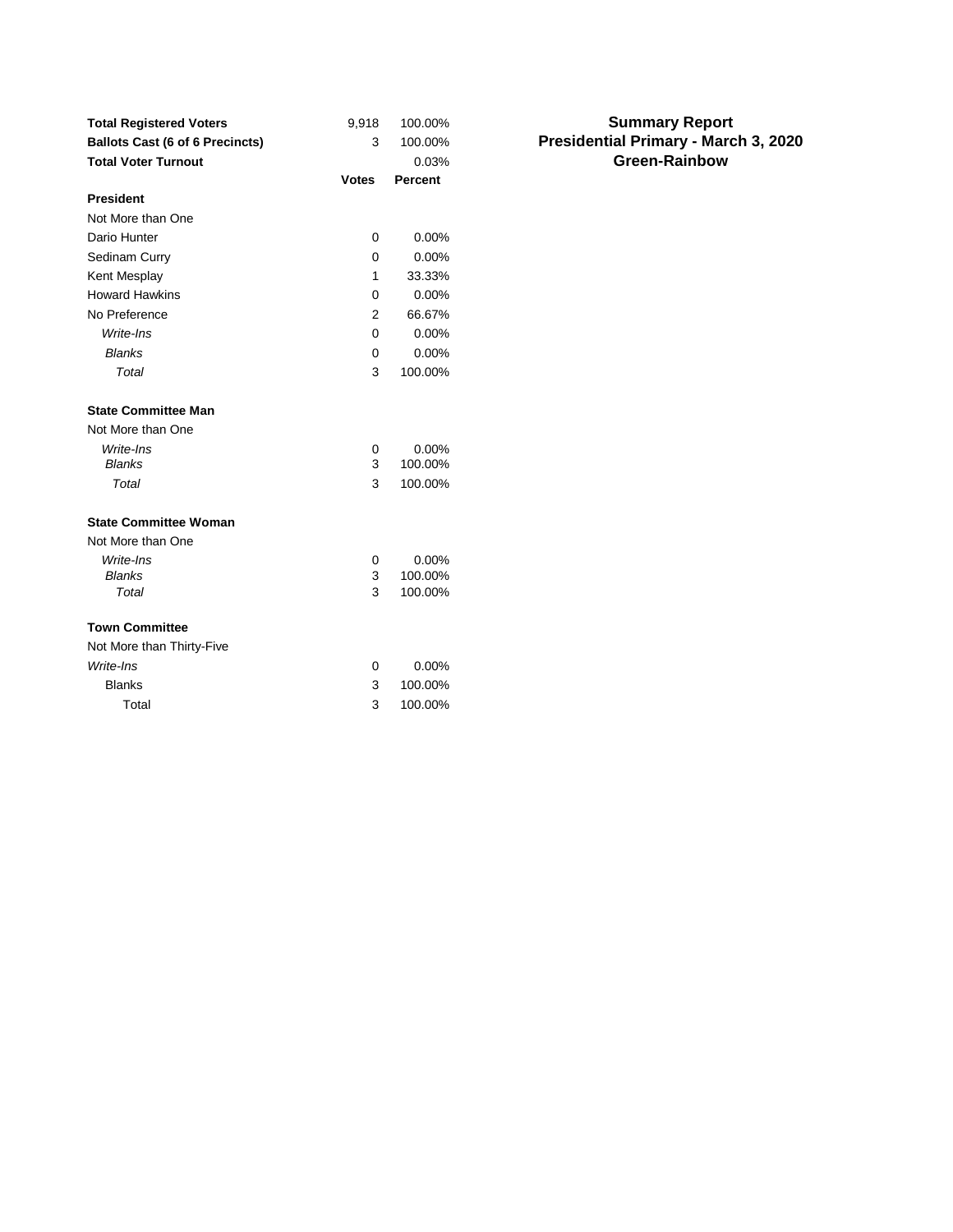| <b>Total Registered Voters</b>         | 9,918        | 100.00%        | <b>Summary Report</b>                |
|----------------------------------------|--------------|----------------|--------------------------------------|
| <b>Ballots Cast (6 of 6 Precincts)</b> | 3            | 100.00%        | Presidential Primary - March 3, 2020 |
| <b>Total Voter Turnout</b>             |              | 0.03%          | <b>Green-Rainbow</b>                 |
|                                        | <b>Votes</b> | <b>Percent</b> |                                      |
| <b>President</b>                       |              |                |                                      |
| Not More than One                      |              |                |                                      |
| Dario Hunter                           | $\mathbf 0$  | 0.00%          |                                      |
| Sedinam Curry                          | 0            | 0.00%          |                                      |
| Kent Mesplay                           | 1            | 33.33%         |                                      |
| <b>Howard Hawkins</b>                  | 0            | 0.00%          |                                      |
| No Preference                          | 2            | 66.67%         |                                      |
| Write-Ins                              | $\mathbf 0$  | 0.00%          |                                      |
| <b>Blanks</b>                          | 0            | 0.00%          |                                      |
| Total                                  | 3            | 100.00%        |                                      |
| <b>State Committee Man</b>             |              |                |                                      |
| Not More than One                      |              |                |                                      |
| Write-Ins                              | $\mathbf 0$  | 0.00%          |                                      |
| <b>Blanks</b>                          | 3            | 100.00%        |                                      |
| Total                                  | 3            | 100.00%        |                                      |
| <b>State Committee Woman</b>           |              |                |                                      |
| Not More than One                      |              |                |                                      |
| Write-Ins                              | $\mathbf 0$  | 0.00%          |                                      |
| <b>Blanks</b>                          | 3            | 100.00%        |                                      |
| Total                                  | 3            | 100.00%        |                                      |
| <b>Town Committee</b>                  |              |                |                                      |
| Not More than Thirty-Five              |              |                |                                      |
| Write-Ins                              | $\mathbf 0$  | 0.00%          |                                      |
| <b>Blanks</b>                          | 3            | 100.00%        |                                      |
| Total                                  | 3            | 100.00%        |                                      |